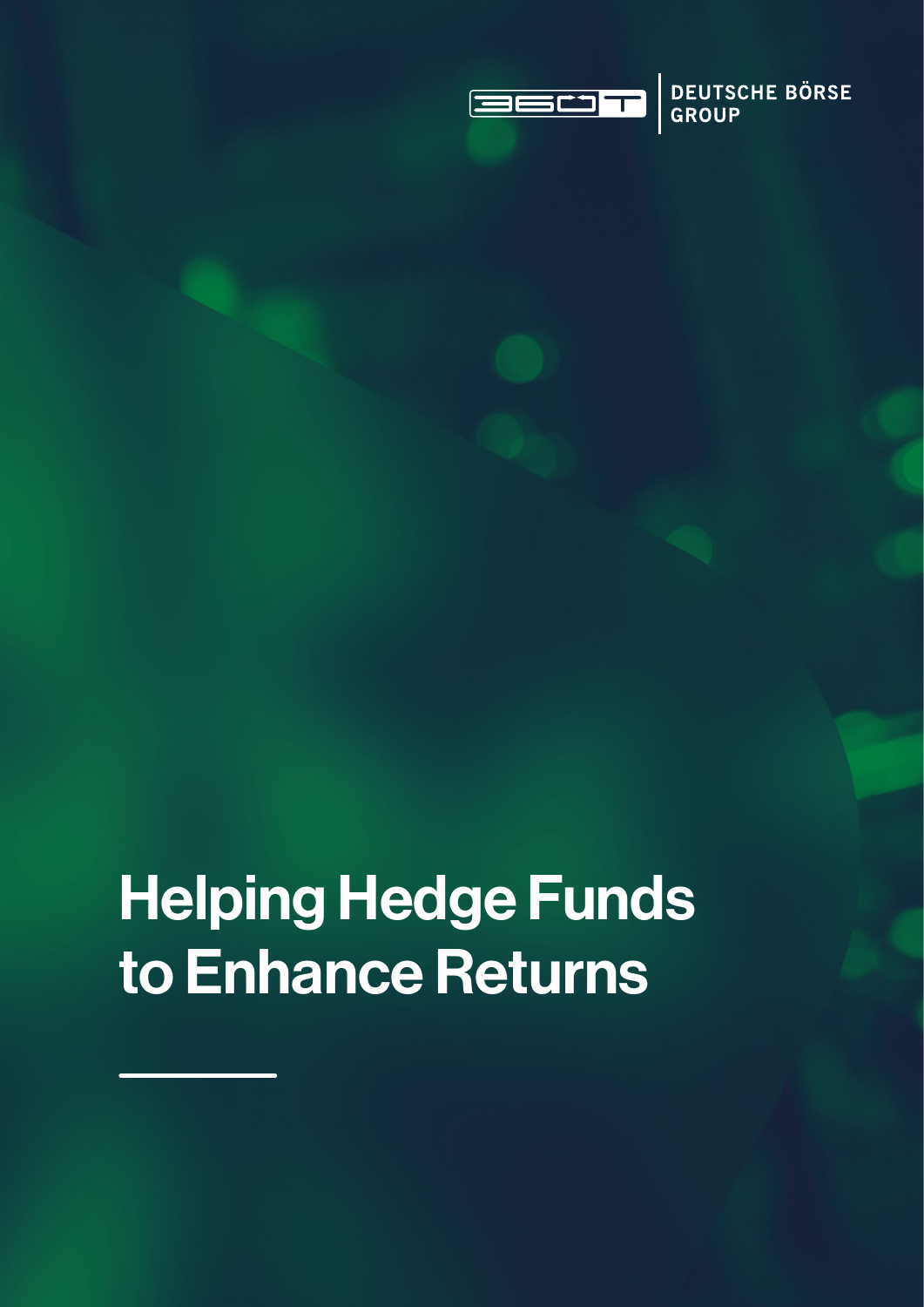

DEUTSCHE BÖRSE

# Helping Hedge Funds to Enhance Returns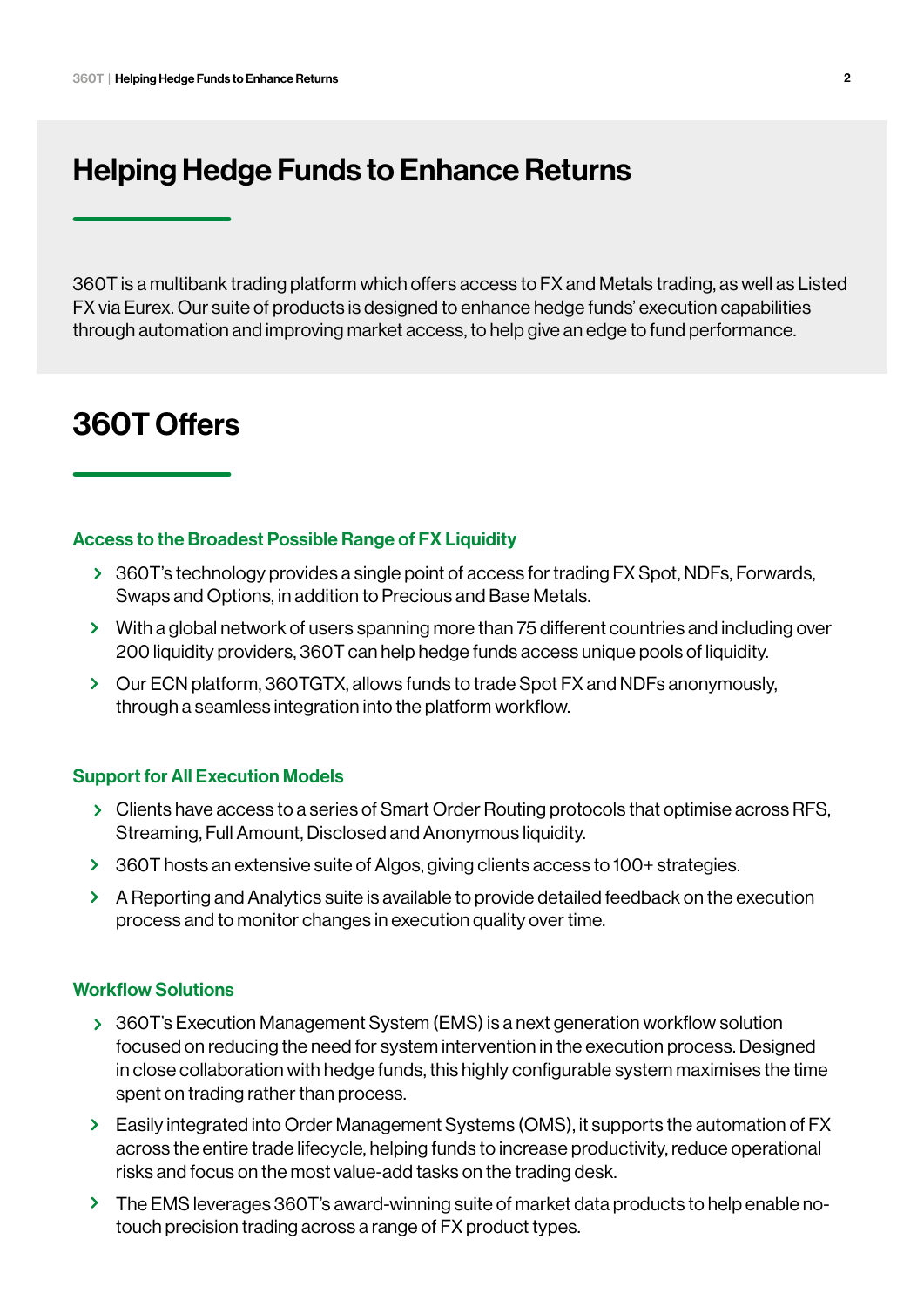# Helping Hedge Funds to Enhance Returns

360T is a multibank trading platform which offers access to FX and Metals trading, as well as Listed FX via Eurex. Our suite of products is designed to enhance hedge funds' execution capabilities through automation and improving market access, to help give an edge to fund performance.

# 360T Offers

#### Access to the Broadest Possible Range of FX Liquidity

- > 360T's technology provides a single point of access for trading FX Spot, NDFs, Forwards, Swaps and Options, in addition to Precious and Base Metals.
- With a global network of users spanning more than 75 different countries and including over 200 liquidity providers, 360T can help hedge funds access unique pools of liquidity.
- Our ECN platform, 360TGTX, allows funds to trade Spot FX and NDFs anonymously, through a seamless integration into the platform workflow.

#### Support for All Execution Models

- Clients have access to a series of Smart Order Routing protocols that optimise across RFS, Streaming, Full Amount, Disclosed and Anonymous liquidity.
- 360T hosts an extensive suite of Algos, giving clients access to 100+ strategies.
- A Reporting and Analytics suite is available to provide detailed feedback on the execution process and to monitor changes in execution quality over time.

#### Workflow Solutions

- 360T's Execution Management System (EMS) is a next generation workflow solution focused on reducing the need for system intervention in the execution process. Designed in close collaboration with hedge funds, this highly configurable system maximises the time spent on trading rather than process.
- Easily integrated into Order Management Systems (OMS), it supports the automation of FX across the entire trade lifecycle, helping funds to increase productivity, reduce operational risks and focus on the most value-add tasks on the trading desk.
- The EMS leverages 360T's award-winning suite of market data products to help enable notouch precision trading across a range of FX product types.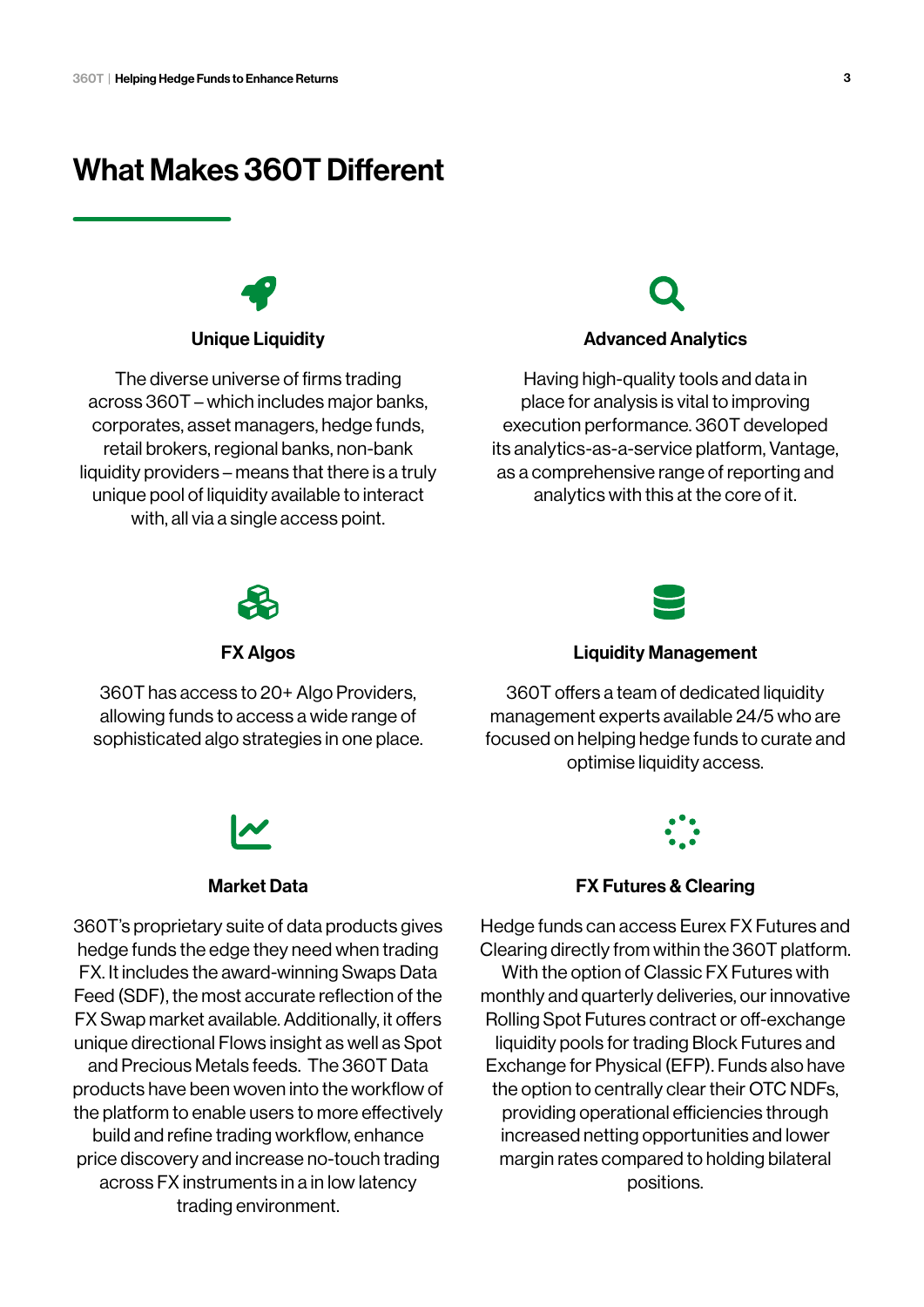# What Makes 360T Different

Unique Liquidity

The diverse universe of firms trading across 360T – which includes major banks, corporates, asset managers, hedge funds, retail brokers, regional banks, non-bank liquidity providers – means that there is a truly unique pool of liquidity available to interact with, all via a single access point.

#### Advanced Analytics

Having high-quality tools and data in place for analysis is vital to improving execution performance. 360T developed its analytics-as-a-service platform, Vantage, as a comprehensive range of reporting and analytics with this at the core of it.



FX Algos

360T has access to 20+ Algo Providers, allowing funds to access a wide range of sophisticated algo strategies in one place.



#### Market Data

360T's proprietary suite of data products gives hedge funds the edge they need when trading FX. It includes the award-winning Swaps Data Feed (SDF), the most accurate reflection of the FX Swap market available. Additionally, it offers unique directional Flows insight as well as Spot and Precious Metals feeds. The 360T Data products have been woven into the workflow of the platform to enable users to more effectively build and refine trading workflow, enhance price discovery and increase no-touch trading across FX instruments in a in low latency trading environment.



#### Liquidity Management

360T offers a team of dedicated liquidity management experts available 24/5 who are focused on helping hedge funds to curate and optimise liquidity access.



#### FX Futures & Clearing

Hedge funds can access Eurex FX Futures and Clearing directly from within the 360T platform. With the option of Classic FX Futures with monthly and quarterly deliveries, our innovative Rolling Spot Futures contract or off-exchange liquidity pools for trading Block Futures and Exchange for Physical (EFP). Funds also have the option to centrally clear their OTC NDFs, providing operational efficiencies through increased netting opportunities and lower margin rates compared to holding bilateral positions.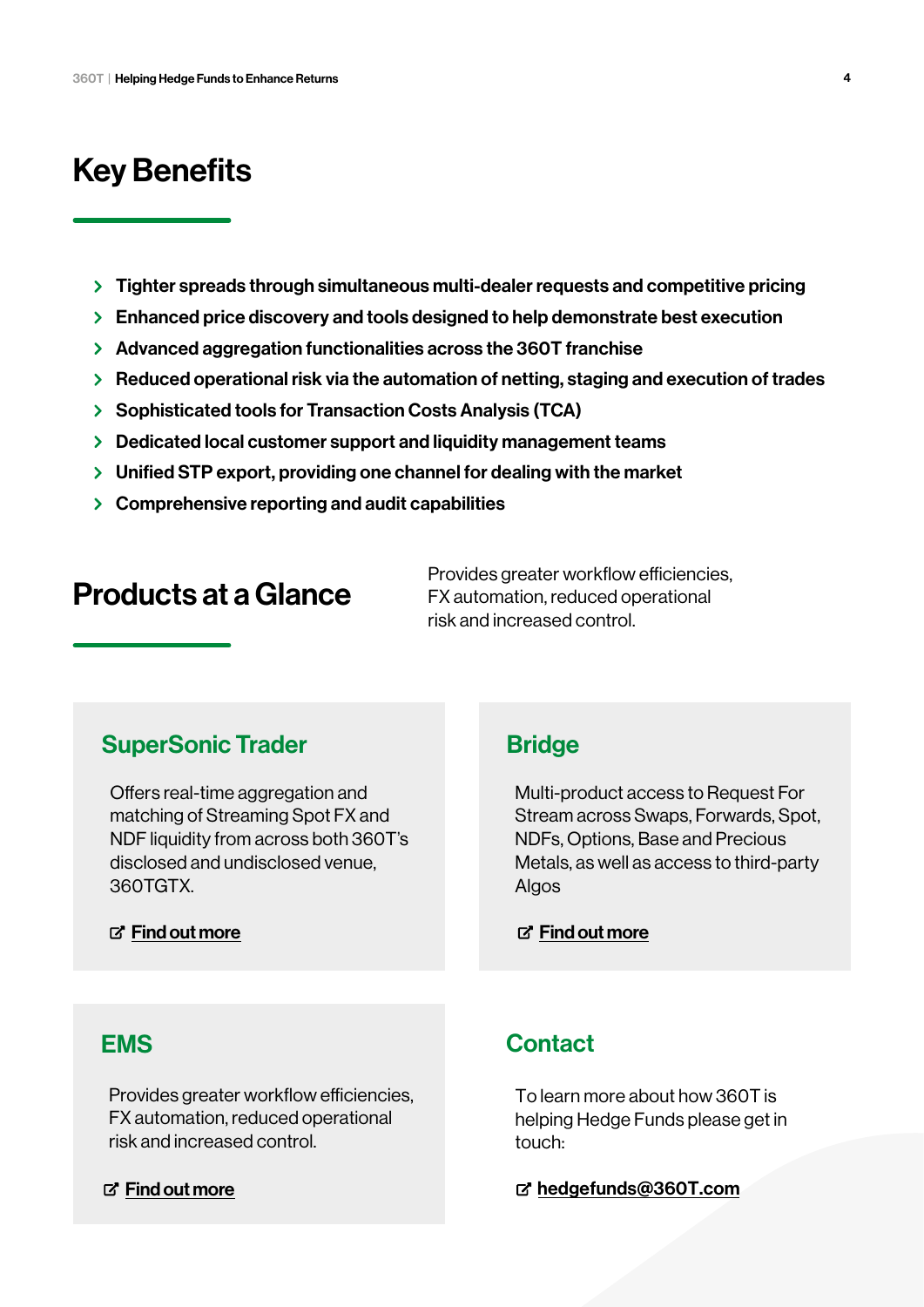# Key Benefits

- > Tighter spreads through simultaneous multi-dealer requests and competitive pricing
- Enhanced price discovery and tools designed to help demonstrate best execution
- Advanced aggregation functionalities across the 360T franchise
- $\triangleright$  Reduced operational risk via the automation of netting, staging and execution of trades
- > Sophisticated tools for Transaction Costs Analysis (TCA)
- **Dedicated local customer support and liquidity management teams**
- $\triangleright$  Unified STP export, providing one channel for dealing with the market
- $\geq$  Comprehensive reporting and audit capabilities

# Products at a Glance

Provides greater workflow efficiencies, FX automation, reduced operational risk and increased control.

# SuperSonic Trader

Offers real-time aggregation and matching of Streaming Spot FX and NDF liquidity from across both 360T's disclosed and undisclosed venue, 360TGTX.

#### $\mathbb{Z}^r$  [Find out more](https://www.360t.com/products/supersonic-trader/)

### **Bridge**

Multi-product access to Request For Stream across Swaps, Forwards, Spot, NDFs, Options, Base and Precious Metals, as well as access to third-party Algos

**子 [Find out more](https://www.360t.com/products/bridge/)** 

## EMS

Provides greater workflow efficiencies, FX automation, reduced operational risk and increased control.

#### **子 [Find out more](https://www.360t.com/products/ems/)**

## **Contact**

To learn more about how 360T is helping Hedge Funds please get in touch:

hedgefunds@360T.com